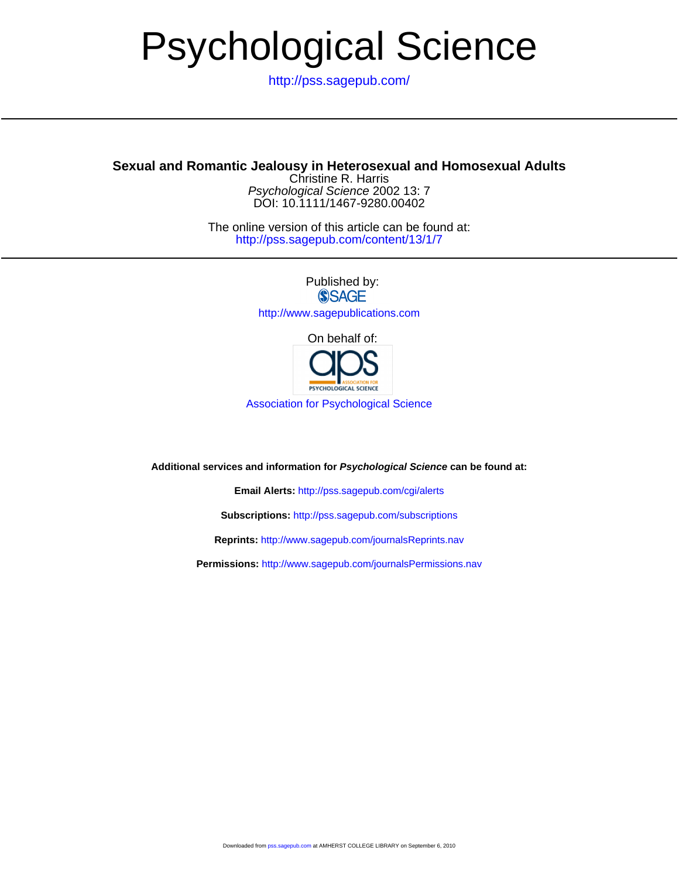# Psychological Science

<http://pss.sagepub.com/>

### **Sexual and Romantic Jealousy in Heterosexual and Homosexual Adults**

DOI: 10.1111/1467-9280.00402 Psychological Science 2002 13: 7 Christine R. Harris

<http://pss.sagepub.com/content/13/1/7> The online version of this article can be found at:

> Published by: **SSAGE** <http://www.sagepublications.com>

> > On behalf of: **PSYCHOLOGICAL SCIENCE**

[Association for Psychological Science](http://www.psychologicalscience.org/)

**Additional services and information for Psychological Science can be found at:**

**Email Alerts:** <http://pss.sagepub.com/cgi/alerts>

**Subscriptions:** <http://pss.sagepub.com/subscriptions>

**Reprints:** <http://www.sagepub.com/journalsReprints.nav>

**Permissions:** <http://www.sagepub.com/journalsPermissions.nav>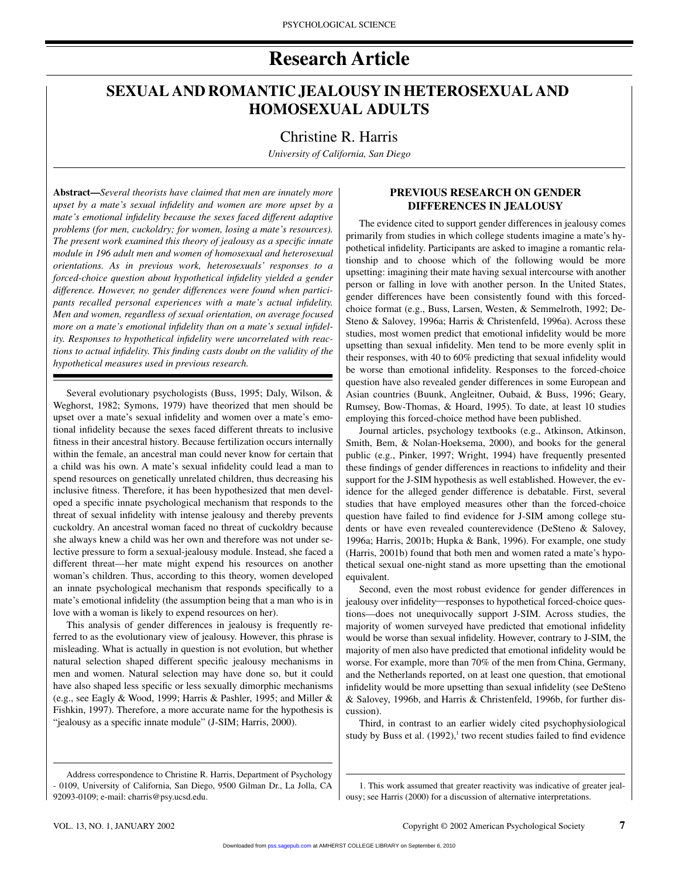## **Research Article**

## **SEXUAL AND ROMANTIC JEALOUSY IN HETEROSEXUAL AND HOMOSEXUAL ADULTS**

## Christine R. Harris

*University of California, San Diego*

**Abstract—***Several theorists have claimed that men are innately more upset by a mate's sexual infidelity and women are more upset by a mate's emotional infidelity because the sexes faced different adaptive problems (for men, cuckoldry; for women, losing a mate's resources). The present work examined this theory of jealousy as a specific innate module in 196 adult men and women of homosexual and heterosexual orientations. As in previous work, heterosexuals' responses to a forced-choice question about hypothetical infidelity yielded a gender difference. However, no gender differences were found when participants recalled personal experiences with a mate's actual infidelity. Men and women, regardless of sexual orientation, on average focused more on a mate's emotional infidelity than on a mate's sexual infidelity. Responses to hypothetical infidelity were uncorrelated with reactions to actual infidelity. This finding casts doubt on the validity of the hypothetical measures used in previous research.*

Several evolutionary psychologists (Buss, 1995; Daly, Wilson, & Weghorst, 1982; Symons, 1979) have theorized that men should be upset over a mate's sexual infidelity and women over a mate's emotional infidelity because the sexes faced different threats to inclusive fitness in their ancestral history. Because fertilization occurs internally within the female, an ancestral man could never know for certain that a child was his own. A mate's sexual infidelity could lead a man to spend resources on genetically unrelated children, thus decreasing his inclusive fitness. Therefore, it has been hypothesized that men developed a specific innate psychological mechanism that responds to the threat of sexual infidelity with intense jealousy and thereby prevents cuckoldry. An ancestral woman faced no threat of cuckoldry because she always knew a child was her own and therefore was not under selective pressure to form a sexual-jealousy module. Instead, she faced a different threat—her mate might expend his resources on another woman's children. Thus, according to this theory, women developed an innate psychological mechanism that responds specifically to a mate's emotional infidelity (the assumption being that a man who is in love with a woman is likely to expend resources on her).

This analysis of gender differences in jealousy is frequently referred to as the evolutionary view of jealousy. However, this phrase is misleading. What is actually in question is not evolution, but whether natural selection shaped different specific jealousy mechanisms in men and women. Natural selection may have done so, but it could have also shaped less specific or less sexually dimorphic mechanisms (e.g., see Eagly & Wood, 1999; Harris & Pashler, 1995; and Miller & Fishkin, 1997). Therefore, a more accurate name for the hypothesis is "jealousy as a specific innate module" (J-SIM; Harris, 2000).

#### **PREVIOUS RESEARCH ON GENDER DIFFERENCES IN JEALOUSY**

The evidence cited to support gender differences in jealousy comes primarily from studies in which college students imagine a mate's hypothetical infidelity. Participants are asked to imagine a romantic relationship and to choose which of the following would be more upsetting: imagining their mate having sexual intercourse with another person or falling in love with another person. In the United States, gender differences have been consistently found with this forcedchoice format (e.g., Buss, Larsen, Westen, & Semmelroth, 1992; De-Steno & Salovey, 1996a; Harris & Christenfeld, 1996a). Across these studies, most women predict that emotional infidelity would be more upsetting than sexual infidelity. Men tend to be more evenly split in their responses, with 40 to 60% predicting that sexual infidelity would be worse than emotional infidelity. Responses to the forced-choice question have also revealed gender differences in some European and Asian countries (Buunk, Angleitner, Oubaid, & Buss, 1996; Geary, Rumsey, Bow-Thomas, & Hoard, 1995). To date, at least 10 studies employing this forced-choice method have been published.

Journal articles, psychology textbooks (e.g., Atkinson, Atkinson, Smith, Bem, & Nolan-Hoeksema, 2000), and books for the general public (e.g., Pinker, 1997; Wright, 1994) have frequently presented these findings of gender differences in reactions to infidelity and their support for the J-SIM hypothesis as well established. However, the evidence for the alleged gender difference is debatable. First, several studies that have employed measures other than the forced-choice question have failed to find evidence for J-SIM among college students or have even revealed counterevidence (DeSteno & Salovey, 1996a; Harris, 2001b; Hupka & Bank, 1996). For example, one study (Harris, 2001b) found that both men and women rated a mate's hypothetical sexual one-night stand as more upsetting than the emotional equivalent.

Second, even the most robust evidence for gender differences in jealousy over infidelity—responses to hypothetical forced-choice questions—does not unequivocally support J-SIM. Across studies, the majority of women surveyed have predicted that emotional infidelity would be worse than sexual infidelity. However, contrary to J-SIM, the majority of men also have predicted that emotional infidelity would be worse. For example, more than 70% of the men from China, Germany, and the Netherlands reported, on at least one question, that emotional infidelity would be more upsetting than sexual infidelity (see DeSteno & Salovey, 1996b, and Harris & Christenfeld, 1996b, for further discussion).

Third, in contrast to an earlier widely cited psychophysiological study by Buss et al.  $(1992)$ ,<sup>1</sup> two recent studies failed to find evidence

Address correspondence to Christine R. Harris, Department of Psychology - 0109, University of California, San Diego, 9500 Gilman Dr., La Jolla, CA 92093-0109; e-mail: charris@psy.ucsd.edu.

1. This work assumed that greater reactivity was indicative of greater jealousy; see Harris (2000) for a discussion of alternative interpretations.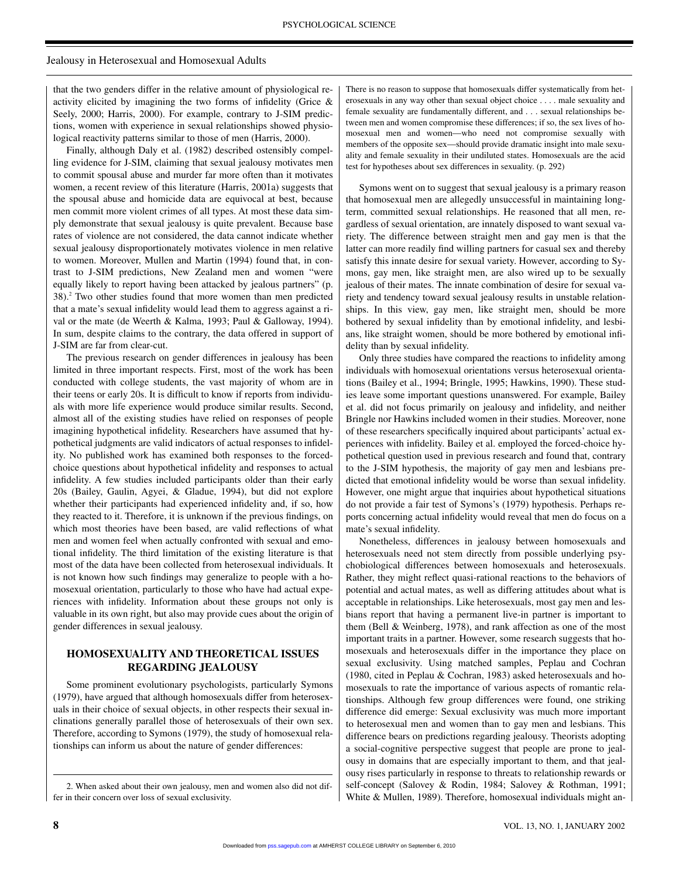#### Jealousy in Heterosexual and Homosexual Adults

that the two genders differ in the relative amount of physiological reactivity elicited by imagining the two forms of infidelity (Grice & Seely, 2000; Harris, 2000). For example, contrary to J-SIM predictions, women with experience in sexual relationships showed physiological reactivity patterns similar to those of men (Harris, 2000).

Finally, although Daly et al. (1982) described ostensibly compelling evidence for J-SIM, claiming that sexual jealousy motivates men to commit spousal abuse and murder far more often than it motivates women, a recent review of this literature (Harris, 2001a) suggests that the spousal abuse and homicide data are equivocal at best, because men commit more violent crimes of all types. At most these data simply demonstrate that sexual jealousy is quite prevalent. Because base rates of violence are not considered, the data cannot indicate whether sexual jealousy disproportionately motivates violence in men relative to women. Moreover, Mullen and Martin (1994) found that, in contrast to J-SIM predictions, New Zealand men and women "were equally likely to report having been attacked by jealous partners" (p. 38).2 Two other studies found that more women than men predicted that a mate's sexual infidelity would lead them to aggress against a rival or the mate (de Weerth & Kalma, 1993; Paul & Galloway, 1994). In sum, despite claims to the contrary, the data offered in support of J-SIM are far from clear-cut.

The previous research on gender differences in jealousy has been limited in three important respects. First, most of the work has been conducted with college students, the vast majority of whom are in their teens or early 20s. It is difficult to know if reports from individuals with more life experience would produce similar results. Second, almost all of the existing studies have relied on responses of people imagining hypothetical infidelity. Researchers have assumed that hypothetical judgments are valid indicators of actual responses to infidelity. No published work has examined both responses to the forcedchoice questions about hypothetical infidelity and responses to actual infidelity. A few studies included participants older than their early 20s (Bailey, Gaulin, Agyei, & Gladue, 1994), but did not explore whether their participants had experienced infidelity and, if so, how they reacted to it. Therefore, it is unknown if the previous findings, on which most theories have been based, are valid reflections of what men and women feel when actually confronted with sexual and emotional infidelity. The third limitation of the existing literature is that most of the data have been collected from heterosexual individuals. It is not known how such findings may generalize to people with a homosexual orientation, particularly to those who have had actual experiences with infidelity. Information about these groups not only is valuable in its own right, but also may provide cues about the origin of gender differences in sexual jealousy.

#### **HOMOSEXUALITY AND THEORETICAL ISSUES REGARDING JEALOUSY**

Some prominent evolutionary psychologists, particularly Symons (1979), have argued that although homosexuals differ from heterosexuals in their choice of sexual objects, in other respects their sexual inclinations generally parallel those of heterosexuals of their own sex. Therefore, according to Symons (1979), the study of homosexual relationships can inform us about the nature of gender differences:

2. When asked about their own jealousy, men and women also did not differ in their concern over loss of sexual exclusivity.

There is no reason to suppose that homosexuals differ systematically from heterosexuals in any way other than sexual object choice . . . . male sexuality and female sexuality are fundamentally different, and . . . sexual relationships between men and women compromise these differences; if so, the sex lives of homosexual men and women—who need not compromise sexually with members of the opposite sex—should provide dramatic insight into male sexuality and female sexuality in their undiluted states. Homosexuals are the acid test for hypotheses about sex differences in sexuality. (p. 292)

Symons went on to suggest that sexual jealousy is a primary reason that homosexual men are allegedly unsuccessful in maintaining longterm, committed sexual relationships. He reasoned that all men, regardless of sexual orientation, are innately disposed to want sexual variety. The difference between straight men and gay men is that the latter can more readily find willing partners for casual sex and thereby satisfy this innate desire for sexual variety. However, according to Symons, gay men, like straight men, are also wired up to be sexually jealous of their mates. The innate combination of desire for sexual variety and tendency toward sexual jealousy results in unstable relationships. In this view, gay men, like straight men, should be more bothered by sexual infidelity than by emotional infidelity, and lesbians, like straight women, should be more bothered by emotional infidelity than by sexual infidelity.

Only three studies have compared the reactions to infidelity among individuals with homosexual orientations versus heterosexual orientations (Bailey et al., 1994; Bringle, 1995; Hawkins, 1990). These studies leave some important questions unanswered. For example, Bailey et al. did not focus primarily on jealousy and infidelity, and neither Bringle nor Hawkins included women in their studies. Moreover, none of these researchers specifically inquired about participants' actual experiences with infidelity. Bailey et al. employed the forced-choice hypothetical question used in previous research and found that, contrary to the J-SIM hypothesis, the majority of gay men and lesbians predicted that emotional infidelity would be worse than sexual infidelity. However, one might argue that inquiries about hypothetical situations do not provide a fair test of Symons's (1979) hypothesis. Perhaps reports concerning actual infidelity would reveal that men do focus on a mate's sexual infidelity.

Nonetheless, differences in jealousy between homosexuals and heterosexuals need not stem directly from possible underlying psychobiological differences between homosexuals and heterosexuals. Rather, they might reflect quasi-rational reactions to the behaviors of potential and actual mates, as well as differing attitudes about what is acceptable in relationships. Like heterosexuals, most gay men and lesbians report that having a permanent live-in partner is important to them (Bell & Weinberg, 1978), and rank affection as one of the most important traits in a partner. However, some research suggests that homosexuals and heterosexuals differ in the importance they place on sexual exclusivity. Using matched samples, Peplau and Cochran (1980, cited in Peplau & Cochran, 1983) asked heterosexuals and homosexuals to rate the importance of various aspects of romantic relationships. Although few group differences were found, one striking difference did emerge: Sexual exclusivity was much more important to heterosexual men and women than to gay men and lesbians. This difference bears on predictions regarding jealousy. Theorists adopting a social-cognitive perspective suggest that people are prone to jealousy in domains that are especially important to them, and that jealousy rises particularly in response to threats to relationship rewards or self-concept (Salovey & Rodin, 1984; Salovey & Rothman, 1991; White & Mullen, 1989). Therefore, homosexual individuals might an-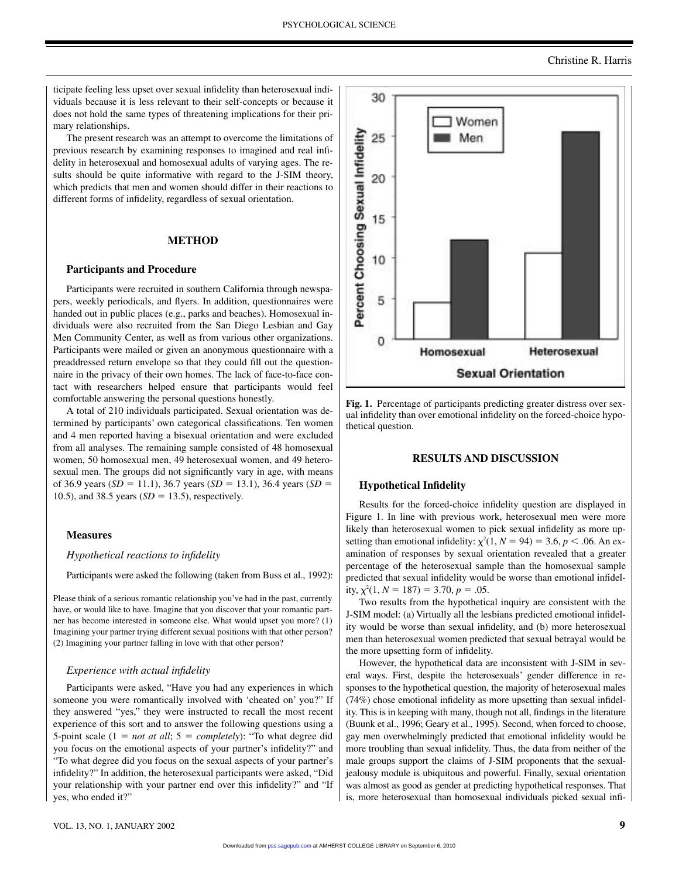ticipate feeling less upset over sexual infidelity than heterosexual individuals because it is less relevant to their self-concepts or because it does not hold the same types of threatening implications for their primary relationships.

The present research was an attempt to overcome the limitations of previous research by examining responses to imagined and real infidelity in heterosexual and homosexual adults of varying ages. The results should be quite informative with regard to the J-SIM theory, which predicts that men and women should differ in their reactions to different forms of infidelity, regardless of sexual orientation.

#### **METHOD**

#### **Participants and Procedure**

Participants were recruited in southern California through newspapers, weekly periodicals, and flyers. In addition, questionnaires were handed out in public places (e.g., parks and beaches). Homosexual individuals were also recruited from the San Diego Lesbian and Gay Men Community Center, as well as from various other organizations. Participants were mailed or given an anonymous questionnaire with a preaddressed return envelope so that they could fill out the questionnaire in the privacy of their own homes. The lack of face-to-face contact with researchers helped ensure that participants would feel comfortable answering the personal questions honestly.

A total of 210 individuals participated. Sexual orientation was determined by participants' own categorical classifications. Ten women and 4 men reported having a bisexual orientation and were excluded from all analyses. The remaining sample consisted of 48 homosexual women, 50 homosexual men, 49 heterosexual women, and 49 heterosexual men. The groups did not significantly vary in age, with means of 36.9 years ( $SD = 11.1$ ), 36.7 years ( $SD = 13.1$ ), 36.4 years ( $SD = 13.1$ ) 10.5), and 38.5 years  $(SD = 13.5)$ , respectively.

#### **Measures**

#### *Hypothetical reactions to infidelity*

Participants were asked the following (taken from Buss et al., 1992):

Please think of a serious romantic relationship you've had in the past, currently have, or would like to have. Imagine that you discover that your romantic partner has become interested in someone else. What would upset you more? (1) Imagining your partner trying different sexual positions with that other person? (2) Imagining your partner falling in love with that other person?

#### *Experience with actual infidelity*

Participants were asked, "Have you had any experiences in which someone you were romantically involved with 'cheated on' you?" If they answered "yes," they were instructed to recall the most recent experience of this sort and to answer the following questions using a 5-point scale  $(1 = not at all; 5 = completely)$ : "To what degree did you focus on the emotional aspects of your partner's infidelity?" and "To what degree did you focus on the sexual aspects of your partner's infidelity?" In addition, the heterosexual participants were asked, "Did your relationship with your partner end over this infidelity?" and "If yes, who ended it?"



**Fig. 1.** Percentage of participants predicting greater distress over sexual infidelity than over emotional infidelity on the forced-choice hypothetical question.

#### **RESULTS AND DISCUSSION**

#### **Hypothetical Infidelity**

Results for the forced-choice infidelity question are displayed in Figure 1. In line with previous work, heterosexual men were more likely than heterosexual women to pick sexual infidelity as more upsetting than emotional infidelity:  $\chi^2(1, N = 94) = 3.6, p < .06$ . An examination of responses by sexual orientation revealed that a greater percentage of the heterosexual sample than the homosexual sample predicted that sexual infidelity would be worse than emotional infidelity,  $\chi^2(1, N = 187) = 3.70, p = .05$ .

Two results from the hypothetical inquiry are consistent with the J-SIM model: (a) Virtually all the lesbians predicted emotional infidelity would be worse than sexual infidelity, and (b) more heterosexual men than heterosexual women predicted that sexual betrayal would be the more upsetting form of infidelity.

However, the hypothetical data are inconsistent with J-SIM in several ways. First, despite the heterosexuals' gender difference in responses to the hypothetical question, the majority of heterosexual males (74%) chose emotional infidelity as more upsetting than sexual infidelity. This is in keeping with many, though not all, findings in the literature (Buunk et al., 1996; Geary et al., 1995). Second, when forced to choose, gay men overwhelmingly predicted that emotional infidelity would be more troubling than sexual infidelity. Thus, the data from neither of the male groups support the claims of J-SIM proponents that the sexualjealousy module is ubiquitous and powerful. Finally, sexual orientation was almost as good as gender at predicting hypothetical responses. That is, more heterosexual than homosexual individuals picked sexual infi-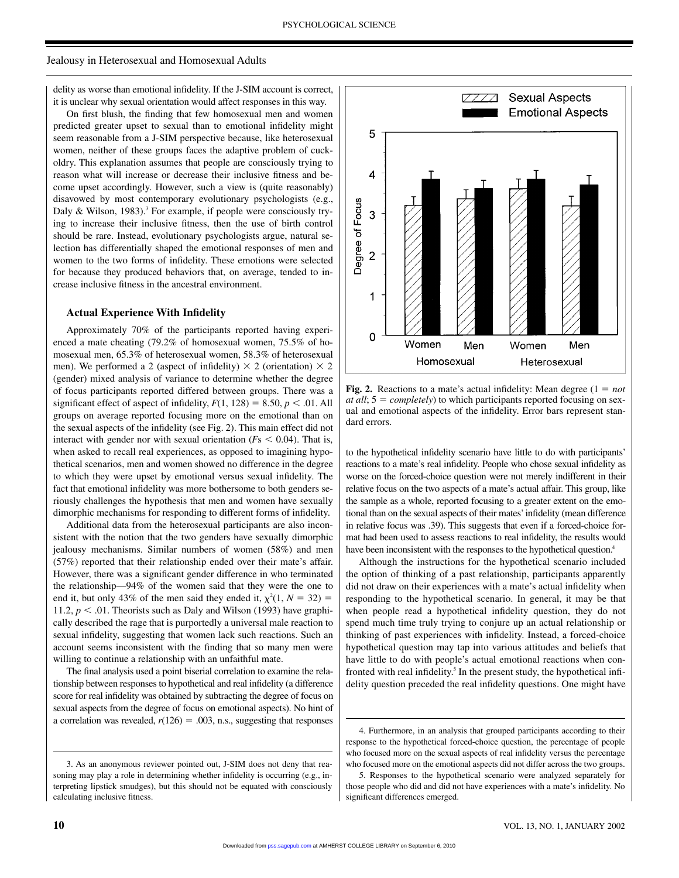#### Jealousy in Heterosexual and Homosexual Adults

delity as worse than emotional infidelity. If the J-SIM account is correct, it is unclear why sexual orientation would affect responses in this way.

On first blush, the finding that few homosexual men and women predicted greater upset to sexual than to emotional infidelity might seem reasonable from a J-SIM perspective because, like heterosexual women, neither of these groups faces the adaptive problem of cuckoldry. This explanation assumes that people are consciously trying to reason what will increase or decrease their inclusive fitness and become upset accordingly. However, such a view is (quite reasonably) disavowed by most contemporary evolutionary psychologists (e.g., Daly & Wilson, 1983).<sup>3</sup> For example, if people were consciously trying to increase their inclusive fitness, then the use of birth control should be rare. Instead, evolutionary psychologists argue, natural selection has differentially shaped the emotional responses of men and women to the two forms of infidelity. These emotions were selected for because they produced behaviors that, on average, tended to increase inclusive fitness in the ancestral environment.

#### **Actual Experience With Infidelity**

Approximately 70% of the participants reported having experienced a mate cheating (79.2% of homosexual women, 75.5% of homosexual men, 65.3% of heterosexual women, 58.3% of heterosexual men). We performed a 2 (aspect of infidelity)  $\times$  2 (orientation)  $\times$  2 (gender) mixed analysis of variance to determine whether the degree of focus participants reported differed between groups. There was a significant effect of aspect of infidelity,  $F(1, 128) = 8.50, p < .01$ . All groups on average reported focusing more on the emotional than on the sexual aspects of the infidelity (see Fig. 2). This main effect did not interact with gender nor with sexual orientation  $(Fs < 0.04)$ . That is, when asked to recall real experiences, as opposed to imagining hypothetical scenarios, men and women showed no difference in the degree to which they were upset by emotional versus sexual infidelity. The fact that emotional infidelity was more bothersome to both genders seriously challenges the hypothesis that men and women have sexually dimorphic mechanisms for responding to different forms of infidelity.

Additional data from the heterosexual participants are also inconsistent with the notion that the two genders have sexually dimorphic jealousy mechanisms. Similar numbers of women (58%) and men (57%) reported that their relationship ended over their mate's affair. However, there was a significant gender difference in who terminated the relationship—94% of the women said that they were the one to end it, but only 43% of the men said they ended it,  $\chi^2(1, N = 32)$ 11.2,  $p < .01$ . Theorists such as Daly and Wilson (1993) have graphically described the rage that is purportedly a universal male reaction to sexual infidelity, suggesting that women lack such reactions. Such an account seems inconsistent with the finding that so many men were willing to continue a relationship with an unfaithful mate.

The final analysis used a point biserial correlation to examine the relationship between responses to hypothetical and real infidelity (a difference score for real infidelity was obtained by subtracting the degree of focus on sexual aspects from the degree of focus on emotional aspects). No hint of a correlation was revealed,  $r(126) = .003$ , n.s., suggesting that responses



**Fig. 2.** Reactions to a mate's actual infidelity: Mean degree  $(1 = not$ *at all*; 5 *completely*) to which participants reported focusing on sexual and emotional aspects of the infidelity. Error bars represent standard errors.

to the hypothetical infidelity scenario have little to do with participants' reactions to a mate's real infidelity. People who chose sexual infidelity as worse on the forced-choice question were not merely indifferent in their relative focus on the two aspects of a mate's actual affair. This group, like the sample as a whole, reported focusing to a greater extent on the emotional than on the sexual aspects of their mates' infidelity (mean difference in relative focus was .39). This suggests that even if a forced-choice format had been used to assess reactions to real infidelity, the results would have been inconsistent with the responses to the hypothetical question.<sup>4</sup>

Although the instructions for the hypothetical scenario included the option of thinking of a past relationship, participants apparently did not draw on their experiences with a mate's actual infidelity when responding to the hypothetical scenario. In general, it may be that when people read a hypothetical infidelity question, they do not spend much time truly trying to conjure up an actual relationship or thinking of past experiences with infidelity. Instead, a forced-choice hypothetical question may tap into various attitudes and beliefs that have little to do with people's actual emotional reactions when confronted with real infidelity.<sup>5</sup> In the present study, the hypothetical infidelity question preceded the real infidelity questions. One might have

<sup>3.</sup> As an anonymous reviewer pointed out, J-SIM does not deny that reasoning may play a role in determining whether infidelity is occurring (e.g., interpreting lipstick smudges), but this should not be equated with consciously calculating inclusive fitness.

<sup>4.</sup> Furthermore, in an analysis that grouped participants according to their response to the hypothetical forced-choice question, the percentage of people who focused more on the sexual aspects of real infidelity versus the percentage who focused more on the emotional aspects did not differ across the two groups.

<sup>5.</sup> Responses to the hypothetical scenario were analyzed separately for those people who did and did not have experiences with a mate's infidelity. No significant differences emerged.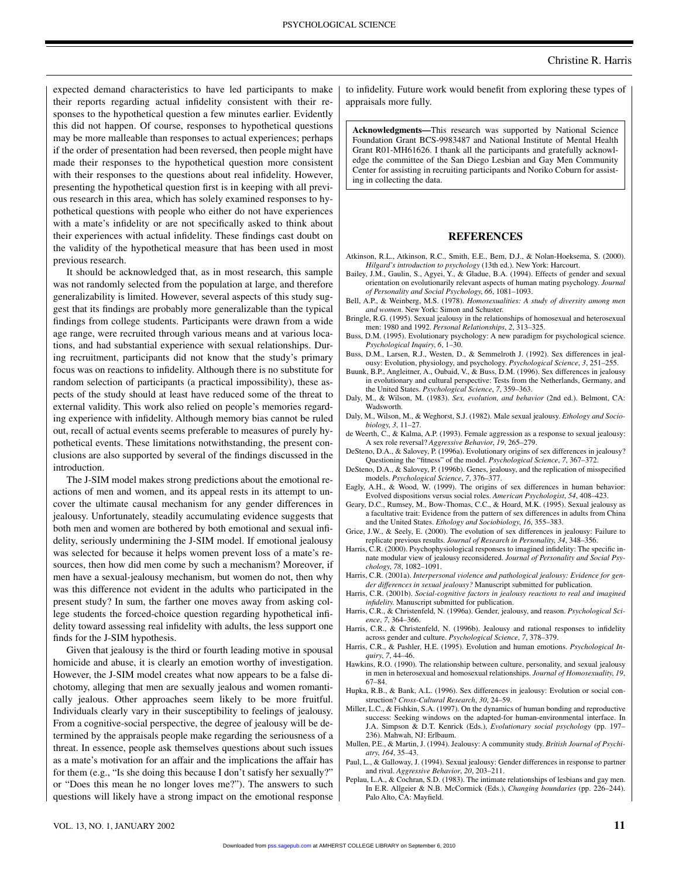#### PSYCHOLOGICAL SCIENCE

expected demand characteristics to have led participants to make their reports regarding actual infidelity consistent with their responses to the hypothetical question a few minutes earlier. Evidently this did not happen. Of course, responses to hypothetical questions may be more malleable than responses to actual experiences; perhaps if the order of presentation had been reversed, then people might have made their responses to the hypothetical question more consistent with their responses to the questions about real infidelity. However, presenting the hypothetical question first is in keeping with all previous research in this area, which has solely examined responses to hypothetical questions with people who either do not have experiences with a mate's infidelity or are not specifically asked to think about their experiences with actual infidelity. These findings cast doubt on the validity of the hypothetical measure that has been used in most previous research.

It should be acknowledged that, as in most research, this sample was not randomly selected from the population at large, and therefore generalizability is limited. However, several aspects of this study suggest that its findings are probably more generalizable than the typical findings from college students. Participants were drawn from a wide age range, were recruited through various means and at various locations, and had substantial experience with sexual relationships. During recruitment, participants did not know that the study's primary focus was on reactions to infidelity. Although there is no substitute for random selection of participants (a practical impossibility), these aspects of the study should at least have reduced some of the threat to external validity. This work also relied on people's memories regarding experience with infidelity. Although memory bias cannot be ruled out, recall of actual events seems preferable to measures of purely hypothetical events. These limitations notwithstanding, the present conclusions are also supported by several of the findings discussed in the introduction.

The J-SIM model makes strong predictions about the emotional reactions of men and women, and its appeal rests in its attempt to uncover the ultimate causal mechanism for any gender differences in jealousy. Unfortunately, steadily accumulating evidence suggests that both men and women are bothered by both emotional and sexual infidelity, seriously undermining the J-SIM model. If emotional jealousy was selected for because it helps women prevent loss of a mate's resources, then how did men come by such a mechanism? Moreover, if men have a sexual-jealousy mechanism, but women do not, then why was this difference not evident in the adults who participated in the present study? In sum, the farther one moves away from asking college students the forced-choice question regarding hypothetical infidelity toward assessing real infidelity with adults, the less support one finds for the J-SIM hypothesis.

Given that jealousy is the third or fourth leading motive in spousal homicide and abuse, it is clearly an emotion worthy of investigation. However, the J-SIM model creates what now appears to be a false dichotomy, alleging that men are sexually jealous and women romantically jealous. Other approaches seem likely to be more fruitful. Individuals clearly vary in their susceptibility to feelings of jealousy. From a cognitive-social perspective, the degree of jealousy will be determined by the appraisals people make regarding the seriousness of a threat. In essence, people ask themselves questions about such issues as a mate's motivation for an affair and the implications the affair has for them (e.g., "Is she doing this because I don't satisfy her sexually?" or "Does this mean he no longer loves me?"). The answers to such questions will likely have a strong impact on the emotional response to infidelity. Future work would benefit from exploring these types of appraisals more fully.

**Acknowledgments—**This research was supported by National Science Foundation Grant BCS-9983487 and National Institute of Mental Health Grant R01-MH61626. I thank all the participants and gratefully acknowledge the committee of the San Diego Lesbian and Gay Men Community Center for assisting in recruiting participants and Noriko Coburn for assisting in collecting the data.

#### **REFERENCES**

- Atkinson, R.L., Atkinson, R.C., Smith, E.E., Bem, D.J., & Nolan-Hoeksema, S. (2000). *Hilgard's introduction to psychology* (13th ed.). New York: Harcourt.
- Bailey, J.M., Gaulin, S., Agyei, Y., & Gladue, B.A. (1994). Effects of gender and sexual orientation on evolutionarily relevant aspects of human mating psychology. *Journal of Personality and Social Psychology*, *66*, 1081–1093.
- Bell, A.P., & Weinberg, M.S. (1978). *Homosexualities: A study of diversity among men and women*. New York: Simon and Schuster.
- Bringle, R.G. (1995). Sexual jealousy in the relationships of homosexual and heterosexual men: 1980 and 1992. *Personal Relationships*, *2*, 313–325.
- Buss, D.M. (1995). Evolutionary psychology: A new paradigm for psychological science. *Psychological Inquiry*, *6*, 1–30.
- Buss, D.M., Larsen, R.J., Westen, D., & Semmelroth J. (1992). Sex differences in jealousy: Evolution, physiology, and psychology. *Psychological Science*, *3*, 251–255.

Buunk, B.P., Angleitner, A., Oubaid, V., & Buss, D.M. (1996). Sex differences in jealousy in evolutionary and cultural perspective: Tests from the Netherlands, Germany, and the United States. *Psychological Science*, *7*, 359–363.

- Daly, M., & Wilson, M. (1983). *Sex, evolution, and behavior* (2nd ed.). Belmont, CA: Wadsworth.
- Daly, M., Wilson, M., & Weghorst, S.J. (1982). Male sexual jealousy. *Ethology and Sociobiology*, *3*, 11–27.
- de Weerth, C., & Kalma, A.P. (1993). Female aggression as a response to sexual jealousy: A sex role reversal? *Aggressive Behavior*, *19*, 265–279.
- DeSteno, D.A., & Salovey, P. (1996a). Evolutionary origins of sex differences in jealousy? Questioning the "fitness" of the model. *Psychological Science*, *7*, 367–372.
- DeSteno, D.A., & Salovey, P. (1996b). Genes, jealousy, and the replication of misspecified models. *Psychological Science*, *7*, 376–377.
- Eagly, A.H., & Wood, W. (1999). The origins of sex differences in human behavior: Evolved dispositions versus social roles. *American Psychologist*, *54*, 408–423.
- Geary, D.C., Rumsey, M., Bow-Thomas, C.C., & Hoard, M.K. (1995). Sexual jealousy as a facultative trait: Evidence from the pattern of sex differences in adults from China and the United States. *Ethology and Sociobiology*, *16*, 355–383.
- Grice, J.W., & Seely, E. (2000). The evolution of sex differences in jealousy: Failure to replicate previous results. *Journal of Research in Personality*, *34*, 348–356.
- Harris, C.R. (2000). Psychophysiological responses to imagined infidelity: The specific innate modular view of jealousy reconsidered. *Journal of Personality and Social Psychology*, *78*, 1082–1091.
- Harris, C.R. (2001a). *Interpersonal violence and pathological jealousy: Evidence for gender differences in sexual jealousy?* Manuscript submitted for publication.
- Harris, C.R. (2001b). *Social-cognitive factors in jealousy reactions to real and imagined infidelity*. Manuscript submitted for publication.
- Harris, C.R., & Christenfeld, N. (1996a). Gender, jealousy, and reason. *Psychological Science*, *7*, 364–366.
- Harris, C.R., & Christenfeld, N. (1996b). Jealousy and rational responses to infidelity across gender and culture. *Psychological Science*, *7*, 378–379.
- Harris, C.R., & Pashler, H.E. (1995). Evolution and human emotions. *Psychological Inquiry*, *7*, 44–46.
- Hawkins, R.O. (1990). The relationship between culture, personality, and sexual jealousy in men in heterosexual and homosexual relationships. *Journal of Homosexuality*, *19*, 67–84.
- Hupka, R.B., & Bank, A.L. (1996). Sex differences in jealousy: Evolution or social construction? *Cross-Cultural Research*, *30*, 24–59.
- Miller, L.C., & Fishkin, S.A. (1997). On the dynamics of human bonding and reproductive success: Seeking windows on the adapted-for human-environmental interface. In J.A. Simpson & D.T. Kenrick (Eds.), *Evolutionary social psychology* (pp. 197– 236). Mahwah, NJ: Erlbaum.
- Mullen, P.E., & Martin, J. (1994). Jealousy: A community study. *British Journal of Psychiatry*, *164*, 35–43.
- Paul, L., & Galloway, J. (1994). Sexual jealousy: Gender differences in response to partner and rival. *Aggressive Behavior*, *20*, 203–211.
- Peplau, L.A., & Cochran, S.D. (1983). The intimate relationships of lesbians and gay men. In E.R. Allgeier & N.B. McCormick (Eds.), *Changing boundaries* (pp. 226–244). Palo Alto, CA: Mayfield.